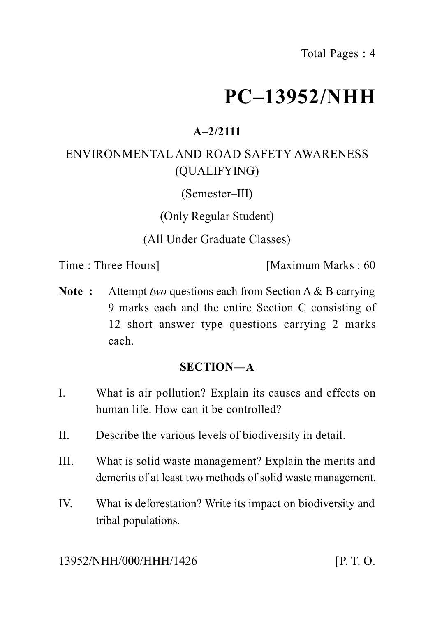# **PC–13952/NHH**

# **A–2/2111**

## ENVIRONMENTAL AND ROAD SAFETY AWARENESS (QUALIFYING)

(Semester–III)

(Only Regular Student)

(All Under Graduate Classes)

Time : Three Hours] [Maximum Marks : 60

**Note :** Attempt *two* questions each from Section A & B carrying 9 marks each and the entire Section C consisting of 12 short answer type questions carrying 2 marks each.

#### **SECTION—A**

- I. What is air pollution? Explain its causes and effects on human life. How can it be controlled?
- II. Describe the various levels of biodiversity in detail.
- III. What is solid waste management? Explain the merits and demerits of at least two methods of solid waste management.
- IV. What is deforestation? Write its impact on biodiversity and tribal populations.

13952/NHH/000/HHH/1426 [P. T. O.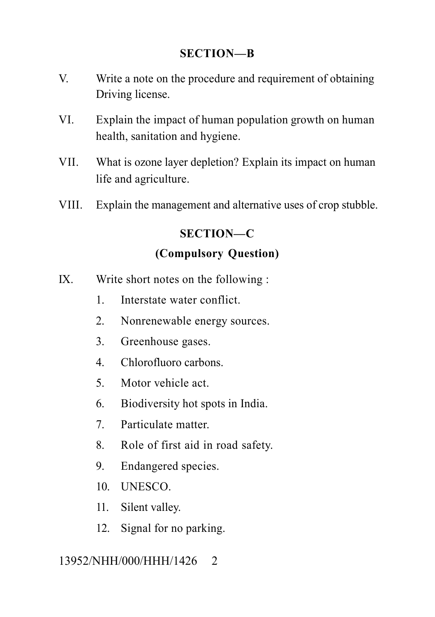#### **SECTION—B**

- V. Write a note on the procedure and requirement of obtaining Driving license.
- VI. Explain the impact of human population growth on human health, sanitation and hygiene.
- VII. What is ozone layer depletion? Explain its impact on human life and agriculture.
- VIII. Explain the management and alternative uses of crop stubble.

### **SECTION—C**

#### **(Compulsory Question)**

- IX. Write short notes on the following :
	- 1. Interstate water conflict.
	- 2. Nonrenewable energy sources.
	- 3. Greenhouse gases.
	- 4. Chlorofluoro carbons.
	- 5. Motor vehicle act.
	- 6. Biodiversity hot spots in India.
	- 7. Particulate matter.
	- 8. Role of first aid in road safety.
	- 9. Endangered species.
	- 10. UNESCO.
	- 11. Silent valley.
	- 12. Signal for no parking.

#### 13952/NHH/000/HHH/1426 2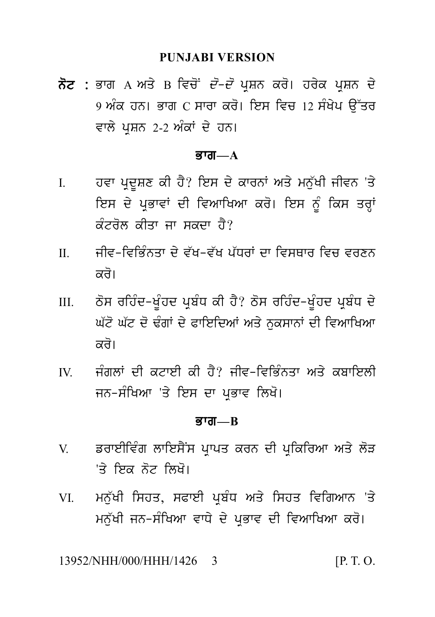ਨੋਟ : ਭਾਗ A ਅਤੇ B ਵਿਚੋਂ *ਦੋ-ਦੋ* ਪੁਸ਼ਨ ਕਰੋ। ਹਰੇਕ ਪੁਸ਼ਨ ਦੇ <u>9 ਅੰਕ ਹਨ। ਭਾਗ C ਸਾਰਾ ਕਰੋ। ਇਸ ਵਿਚ 12 ਸੰਖੇਪ ਉੱਤਰ</u> ਵਾਲੇ ਪਸ਼ਨ 2-2 ਅੰਕਾਂ ਦੇ ਹਨ।

#### ਭਾਗ $-A$

- ਹਵਾ ਪੁਦੂਸ਼ਣ ਕੀ ਹੈ? ਇਸ ਦੇ ਕਾਰਨਾਂ ਅਤੇ ਮਨੁੱਖੀ ਜੀਵਨ 'ਤੇ  $\mathbf{I}$ ਇਸ ਦੇ ਪ੍ਰਭਾਵਾਂ ਦੀ ਵਿਆਖਿਆ ਕਰੋ। ਇਸ ਨੂੰ ਕਿਸ ਤਰ੍ਹਾਂ ਕੰਟਰੋਲ ਕੀਤਾ ਜਾ ਸਕਦਾ ਹੈ?
- ਜੀਵ-ਵਿਭਿੰਨਤਾ ਦੇ ਵੱਖ-ਵੱਖ ਪੱਧਰਾਂ ਦਾ ਵਿਸਥਾਰ ਵਿਚ ਵਰਣਨ  $\Pi$ ਕਰੋ।
- ਠੋਸ ਰਹਿੰਦ-ਖੰਹਦ ਪਬੰਧ ਕੀ ਹੈ? ਠੋਸ ਰਹਿੰਦ-ਖੰਹਦ ਪਬੰਧ ਦੇ  $III$ ਘੱਟੋ ਘੱਟ ਦੋ ਢੰਗਾਂ ਦੇ ਫਾਇਦਿਆਂ ਅਤੇ ਨਕਸਾਨਾਂ ਦੀ ਵਿਆਖਿਆ ਕਰੋ।
- ਜੰਗਲਾਂ ਦੀ ਕਟਾਈ ਕੀ ਹੈ? ਜੀਵ-ਵਿਕਿੰਨਤਾ ਅਤੇ ਕੁਬਾਇਲੀ  $\mathbf{W}$ ਜਨ-ਸੰਖਿਆ 'ਤੇ ਇਸ ਦਾ ਪ੍ਰਭਾਵ ਲਿਖੋ।

#### **ਭਾਗ—** $R$

- ਡਰਾਈਵਿੰਗ ਲਾਇਸੈਂਸ ਪਾਪਤ ਕਰਨ ਦੀ ਪਕਿਰਿਆ ਅਤੇ ਲੋੜ  $V$ 'ਤੇ ਇਕ ਨੋਟ **ਲਿ**ਖੋ।
- ਮਨੱਖੀ ਸਿਹਤ, ਸਫਾਈ ਪਬੰਧ ਅਤੇ ਸਿਹਤ ਵਿਗਿਆਨ 'ਤੇ VI — ਮਨੱਖੀ ਜਨ-ਸੰਖਿਆ ਵਾਧੇ ਦੇ ਪਭਾਵ ਦੀ ਵਿਆਖਿਆ ਕਰੋ।